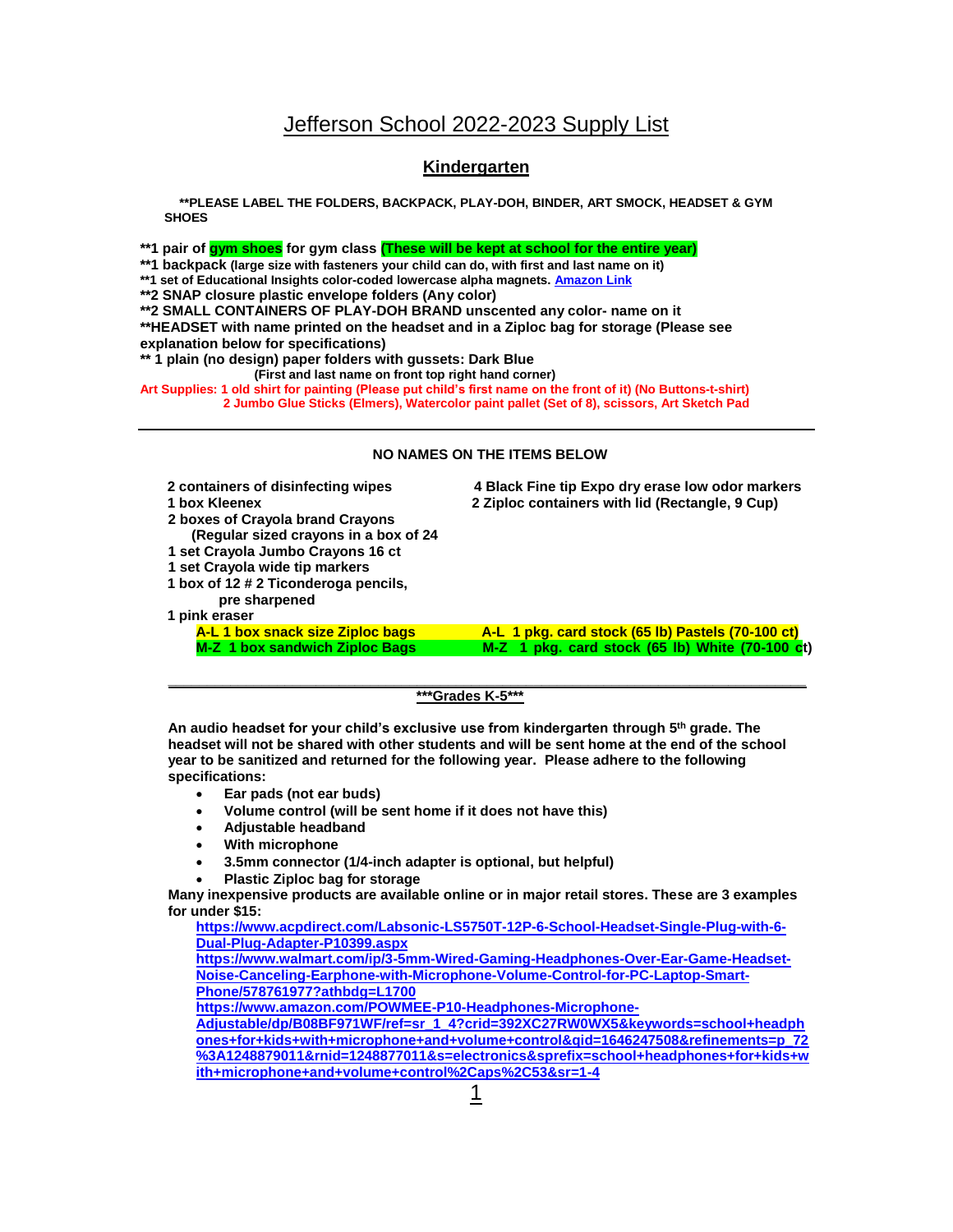## **Kindergarten**

**\*\*PLEASE LABEL THE FOLDERS, BACKPACK, PLAY-DOH, BINDER, ART SMOCK, HEADSET & GYM SHOES**

**\*\*1 pair of gym shoes for gym class (These will be kept at school for the entire year)**

**\*\*1 backpack (large size with fasteners your child can do, with first and last name on it)**

**\*\*1 set of Educational Insights color-coded lowercase alpha magnets[. Amazon Link](https://www.amazon.com/Educational-Insights-AlphaMagnets-Color-Coded-Lowercase/dp/B0006MUBEM/ref=sr_1_3?dchild=1&keywords=educational+insights+color+coded+lowercase+alphamagnets&qid=1614968541&sr=8-3)**

**\*\*2 SNAP closure plastic envelope folders (Any color)**

**\*\*2 SMALL CONTAINERS OF PLAY-DOH BRAND unscented any color- name on it** 

**\*\*HEADSET with name printed on the headset and in a Ziploc bag for storage (Please see explanation below for specifications)**

**\*\* 1 plain (no design) paper folders with gussets: Dark Blue**

 **(First and last name on front top right hand corner)** 

**Art Supplies: 1 old shirt for painting (Please put child's first name on the front of it) (No Buttons-t-shirt) 2 Jumbo Glue Sticks (Elmers), Watercolor paint pallet (Set of 8), scissors, Art Sketch Pad**

## **NO NAMES ON THE ITEMS BELOW**

| 2 containers of disinfecting wipes<br>1 box Kleenex<br>2 boxes of Crayola brand Crayons<br>(Regular sized crayons in a box of 24<br>1 set Crayola Jumbo Crayons 16 ct<br>1 set Crayola wide tip markers<br>1 box of 12 # 2 Ticonderoga pencils,<br>pre sharpened<br>1 pink eraser | 4 Black Fine tip Expo dry erase low odor markers<br>2 Ziploc containers with lid (Rectangle, 9 Cup) |
|-----------------------------------------------------------------------------------------------------------------------------------------------------------------------------------------------------------------------------------------------------------------------------------|-----------------------------------------------------------------------------------------------------|
| A-L 1 box snack size Ziploc bags                                                                                                                                                                                                                                                  | A-L 1 pkg. card stock (65 lb) Pastels (70-100 ct)                                                   |
| M-Z 1 box sandwich Ziploc Bags                                                                                                                                                                                                                                                    | M-Z 1 pkg. card stock (65 lb) White (70-100 ct)                                                     |

 **\*\*\*Grades K-5\*\*\***

**\_\_\_\_\_\_\_\_\_\_\_\_\_\_\_\_\_\_\_\_\_\_\_\_\_\_\_\_\_\_\_\_\_\_\_\_\_\_\_\_\_\_\_\_\_\_\_\_\_\_\_\_\_\_\_\_\_\_\_\_\_\_\_\_\_\_\_\_\_\_\_\_\_\_\_\_\_\_\_\_\_\_**

**An audio headset for your child's exclusive use from kindergarten through 5th grade. The headset will not be shared with other students and will be sent home at the end of the school year to be sanitized and returned for the following year. Please adhere to the following specifications:**

- **Ear pads (not ear buds)**
- **Volume control (will be sent home if it does not have this)**
- **Adjustable headband**
- **With microphone**
- **3.5mm connector (1/4-inch adapter is optional, but helpful)**
- **Plastic Ziploc bag for storage**

**Many inexpensive products are available online or in major retail stores. These are 3 examples for under \$15:**

**[https://www.acpdirect.com/Labsonic-LS5750T-12P-6-School-Headset-Single-Plug-with-6-](https://www.acpdirect.com/Labsonic-LS5750T-12P-6-School-Headset-Single-Plug-with-6-Dual-Plug-Adapter-P10399.aspx) [Dual-Plug-Adapter-P10399.aspx](https://www.acpdirect.com/Labsonic-LS5750T-12P-6-School-Headset-Single-Plug-with-6-Dual-Plug-Adapter-P10399.aspx)**

**[https://www.walmart.com/ip/3-5mm-Wired-Gaming-Headphones-Over-Ear-Game-Headset-](https://www.walmart.com/ip/3-5mm-Wired-Gaming-Headphones-Over-Ear-Game-Headset-Noise-Canceling-Earphone-with-Microphone-Volume-Control-for-PC-Laptop-Smart-Phone/578761977?athbdg=L1700)[Noise-Canceling-Earphone-with-Microphone-Volume-Control-for-PC-Laptop-Smart-](https://www.walmart.com/ip/3-5mm-Wired-Gaming-Headphones-Over-Ear-Game-Headset-Noise-Canceling-Earphone-with-Microphone-Volume-Control-for-PC-Laptop-Smart-Phone/578761977?athbdg=L1700)[Phone/578761977?athbdg=L1700](https://www.walmart.com/ip/3-5mm-Wired-Gaming-Headphones-Over-Ear-Game-Headset-Noise-Canceling-Earphone-with-Microphone-Volume-Control-for-PC-Laptop-Smart-Phone/578761977?athbdg=L1700)**

**[https://www.amazon.com/POWMEE-P10-Headphones-Microphone-](https://www.amazon.com/POWMEE-P10-Headphones-Microphone-Adjustable/dp/B08BF971WF/ref=sr_1_4?crid=392XC27RW0WX5&keywords=school+headphones+for+kids+with+microphone+and+volume+control&qid=1646247508&refinements=p_72%3A1248879011&rnid=1248877011&s=electronics&sprefix=school+headphones+for+kids+with+microphone+and+volume+control%2Caps%2C53&sr=1-4)**

**[Adjustable/dp/B08BF971WF/ref=sr\\_1\\_4?crid=392XC27RW0WX5&keywords=school+headph](https://www.amazon.com/POWMEE-P10-Headphones-Microphone-Adjustable/dp/B08BF971WF/ref=sr_1_4?crid=392XC27RW0WX5&keywords=school+headphones+for+kids+with+microphone+and+volume+control&qid=1646247508&refinements=p_72%3A1248879011&rnid=1248877011&s=electronics&sprefix=school+headphones+for+kids+with+microphone+and+volume+control%2Caps%2C53&sr=1-4) [ones+for+kids+with+microphone+and+volume+control&qid=1646247508&refinements=p\\_72](https://www.amazon.com/POWMEE-P10-Headphones-Microphone-Adjustable/dp/B08BF971WF/ref=sr_1_4?crid=392XC27RW0WX5&keywords=school+headphones+for+kids+with+microphone+and+volume+control&qid=1646247508&refinements=p_72%3A1248879011&rnid=1248877011&s=electronics&sprefix=school+headphones+for+kids+with+microphone+and+volume+control%2Caps%2C53&sr=1-4) [%3A1248879011&rnid=1248877011&s=electronics&sprefix=school+headphones+for+kids+w](https://www.amazon.com/POWMEE-P10-Headphones-Microphone-Adjustable/dp/B08BF971WF/ref=sr_1_4?crid=392XC27RW0WX5&keywords=school+headphones+for+kids+with+microphone+and+volume+control&qid=1646247508&refinements=p_72%3A1248879011&rnid=1248877011&s=electronics&sprefix=school+headphones+for+kids+with+microphone+and+volume+control%2Caps%2C53&sr=1-4) [ith+microphone+and+volume+control%2Caps%2C53&sr=1-4](https://www.amazon.com/POWMEE-P10-Headphones-Microphone-Adjustable/dp/B08BF971WF/ref=sr_1_4?crid=392XC27RW0WX5&keywords=school+headphones+for+kids+with+microphone+and+volume+control&qid=1646247508&refinements=p_72%3A1248879011&rnid=1248877011&s=electronics&sprefix=school+headphones+for+kids+with+microphone+and+volume+control%2Caps%2C53&sr=1-4)**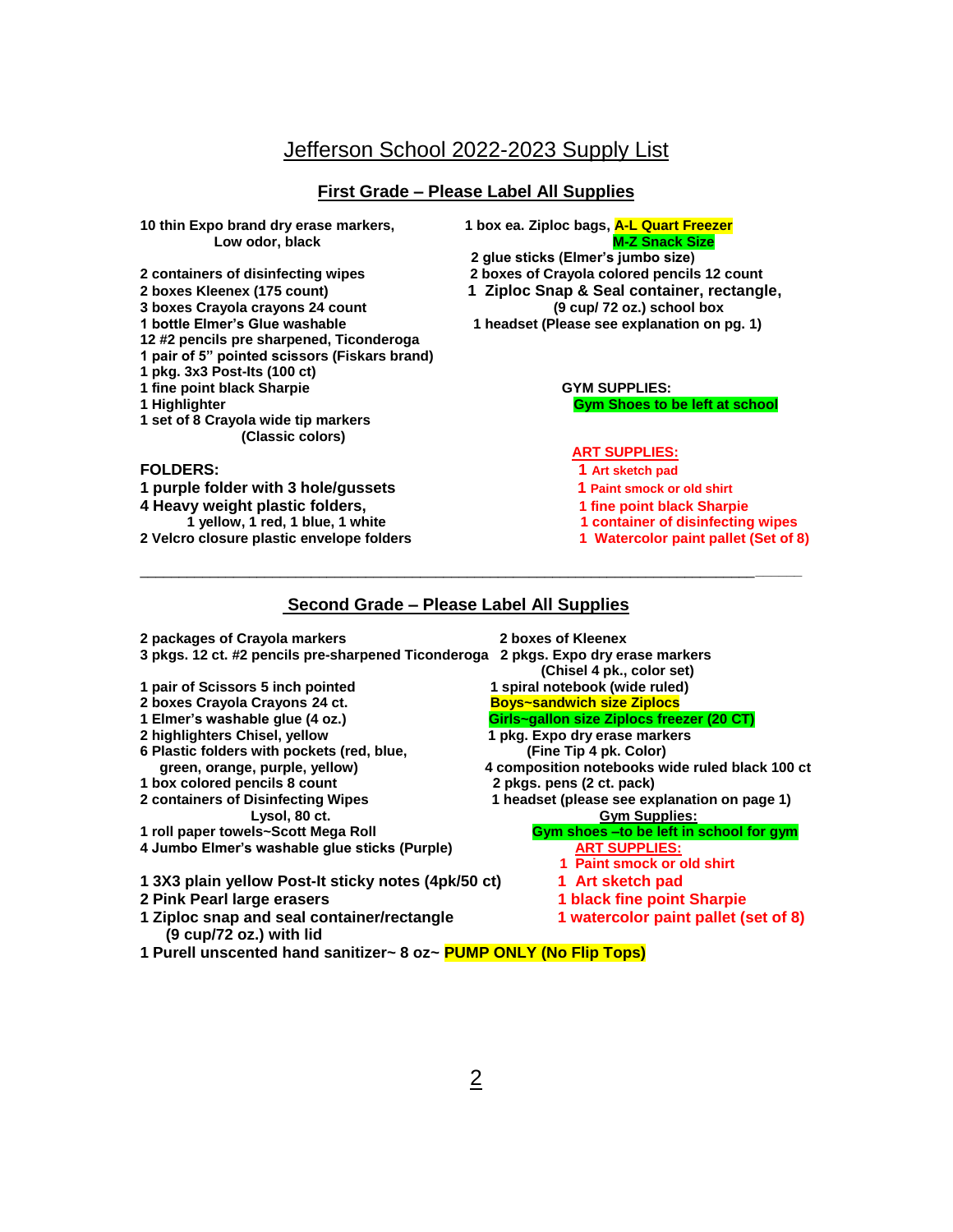## **First Grade – Please Label All Supplies**

Low odor, black

**3** boxes Crayola crayons 24 count 1 bottle Elmer's Glue washable

- **12 #2 pencils pre sharpened, Ticonderoga**
- **1 pair of 5" pointed scissors (Fiskars brand)**
- **1 pkg. 3x3 Post-Its (100 ct)**
- 
- 
- **1 set of 8 Crayola wide tip markers (Classic colors)**

**1 purple folder with 3 hole/gussets 1 Paint smock or old shirt 4 Heavy weight plastic folders, 1 fine point black Sharpie 2 Velcro closure plastic envelope folders** 

**10 thin Expo brand dry erase markers, 1 box ea. Ziploc bags, A-L Quart Freezer**

- **2 glue sticks (Elmer's jumbo size)**
- **2 containers of disinfecting wipes 2 boxes of Crayola colored pencils 12 count**
- **2 boxes Kleenex (175 count) 1 Ziploc Snap & Seal container, rectangle,**
	- **1 headset (Please see explanation on pg. 1)**

**1 fine point black Sharpie CYM SUPPLIES:**<br> **1 Highlighter**<br> **1 Highlighter 1 Gym Shoes to be left at school** 

## **ART SUPPLIES:**

- **FOLDERS:** 1 Art sketch pad
	-
	-
	-
	- **1 container of disinfecting wipes<br>1 Watercolor paint pallet (Set of 8)**

## **Second Grade – Please Label All Supplies**

\_\_\_\_\_\_\_\_\_\_\_\_\_\_\_\_\_\_\_\_\_\_\_\_\_\_\_\_\_\_\_\_\_\_\_\_\_\_\_\_\_\_\_\_\_\_\_\_\_\_\_\_\_\_\_\_\_\_\_\_\_\_\_\_\_\_\_\_\_\_\_\_\_\_\_\_\_\_\_**\_\_\_\_\_\_** 

| 2 packages of Crayola markers                                         | 2 boxes of Kleenex                              |  |
|-----------------------------------------------------------------------|-------------------------------------------------|--|
| 3 pkgs. 12 ct. #2 pencils pre-sharpened Ticonderoga                   | 2 pkgs. Expo dry erase markers                  |  |
|                                                                       | (Chisel 4 pk., color set)                       |  |
| 1 pair of Scissors 5 inch pointed                                     | 1 spiral notebook (wide ruled)                  |  |
| 2 boxes Crayola Crayons 24 ct.                                        | <b>Boys~sandwich size Ziplocs</b>               |  |
| 1 Elmer's washable glue (4 oz.)                                       | Girls~gallon size Ziplocs freezer (20 CT)       |  |
| 2 highlighters Chisel, yellow                                         | 1 pkg. Expo dry erase markers                   |  |
| 6 Plastic folders with pockets (red, blue,                            | (Fine Tip 4 pk. Color)                          |  |
| green, orange, purple, yellow)                                        | 4 composition notebooks wide ruled black 100 ct |  |
| 1 box colored pencils 8 count                                         | 2 pkgs. pens (2 ct. pack)                       |  |
| 2 containers of Disinfecting Wipes                                    | 1 headset (please see explanation on page 1)    |  |
| Lysol, 80 ct.                                                         | <b>Gym Supplies:</b>                            |  |
| 1 roll paper towels~Scott Mega Roll                                   | Gym shoes -to be left in school for gym         |  |
| 4 Jumbo Elmer's washable glue sticks (Purple)                         | <b>ART SUPPLIES:</b>                            |  |
|                                                                       | 1 Paint smock or old shirt                      |  |
| 1 3X3 plain yellow Post-It sticky notes (4pk/50 ct)                   | 1 Art sketch pad                                |  |
| 2 Pink Pearl large erasers                                            | <b>1 black fine point Sharpie</b>               |  |
| 1 Ziploc snap and seal container/rectangle<br>(9 cup/72 oz.) with lid | 1 watercolor paint pallet (set of 8)            |  |
| 1 Purell unscented hand sanitizer~ 8 oz~ PUMP ONLY (No Flip Tops)     |                                                 |  |
|                                                                       |                                                 |  |
|                                                                       |                                                 |  |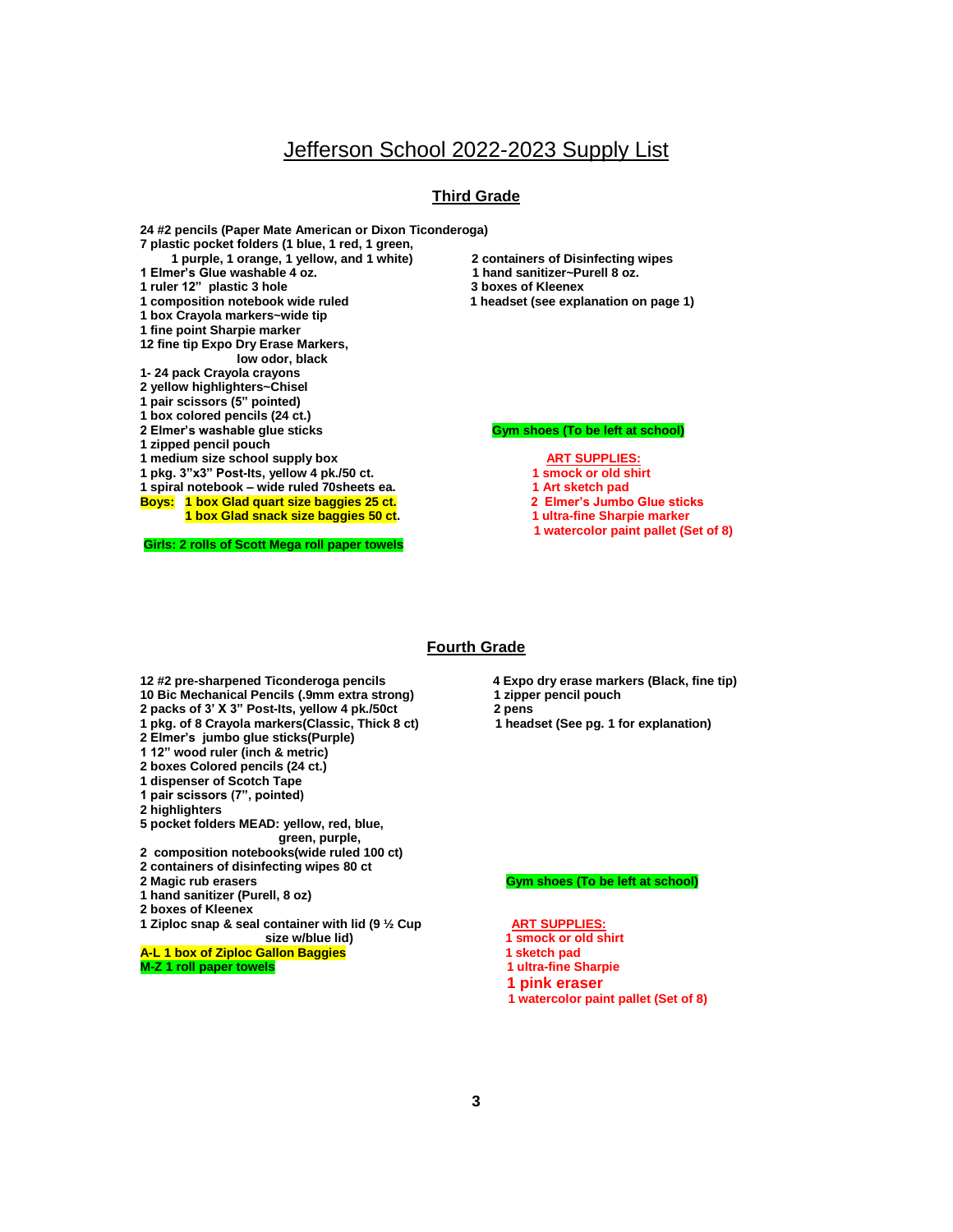## **Third Grade**

**24 #2 pencils (Paper Mate American or Dixon Ticonderoga) 7 plastic pocket folders (1 blue, 1 red, 1 green, 1 purple, 1 orange, 1 yellow, and 1 white) 2 containers of Disinfecting wipes**  1 Elmer's Glue washable 4 oz. **1 ruler 12" plastic 3 hole 3 boxes of Kleenex 1 box Crayola markers~wide tip 1 fine point Sharpie marker 12 fine tip Expo Dry Erase Markers, low odor, black 1- 24 pack Crayola crayons 2 yellow highlighters~Chisel 1 pair scissors (5" pointed) 1 box colored pencils (24 ct.) 2 Elmer's washable glue sticks Community Communist Communist Communist Communist Communist Communist Communist Communist Communist Communist Communist Communist Communist Communist Communist Communist Communist Communist 1 zipped pencil pouch** 1 medium size school supply box<br>
1 pkg. 3"x3" Post-Its, yellow 4 pk./50 ct.<br>
1 smock or old shirt **1 pkg. 3"x3" Post-Its, yellow 4 pk./50 ct. 1 spiral notebook – wide ruled 70sheets ea. 1 Art sketch pad Boys: 1 box Glad quart size baggies 25 ct. 2 Elmer's Jumbo Glue sticks 1 box Glad snack size baggies 50 ct.** 1 ultra-fine Sharpie marker

**Girls: 2 rolls of Scott Mega roll paper towels**

- 
- 
- **1 headset (see explanation on page 1)**

- 
- 
- 
- 
- 
- **1 watercolor paint pallet (Set of 8)**

### **Fourth Grade**

- **12 #2 pre-sharpened Ticonderoga pencils 4 Expo dry erase markers (Black, fine tip) 10 Bic Mechanical Pencils (.9mm extra strong)**
- **2 packs of 3' X 3" Post-Its, yellow 4 pk./50ct 2 pens**
- **1 pkg. of 8 Crayola markers(Classic, Thick 8 ct) 1 headset (See pg. 1 for explanation)**
- **2 Elmer's jumbo glue sticks(Purple)**
- **1 12" wood ruler (inch & metric)**
- 
- **2 boxes Colored pencils (24 ct.) 1 dispenser of Scotch Tape**
- **1 pair scissors (7", pointed)**
- **2 highlighters**
- 
- **5 pocket folders MEAD: yellow, red, blue, green, purple,**
- **2 composition notebooks(wide ruled 100 ct)**
- **2 containers of disinfecting wipes 80 ct**
- 
- **1 hand sanitizer (Purell, 8 oz)**
- **2 boxes of Kleenex**
- **1 Ziploc snap & seal container with lid (9** <sup>1</sup>/<sub>2</sub> Cup **ART SUPPLIES:**<br>**1 smock or old shirt** size w/blue lid) **a** 1 smock or old shirt  **size w/blue lid) 1 smock or old shirt**
- **A-L 1 box of Ziploc Gallon Baggies 1 sketch pad and a sketch pad a sketch pad a sketch pad a sketch pad a sketch**
- **M-Z 1 roll paper towels 1 ultra-fine Sharpie**
- 
- 
- 
- 

### **2 Gym shoes (To be left at school)**

- 
- 
- 
- **1 pink eraser**
- **1 watercolor paint pallet (Set of 8)**